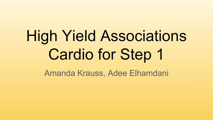# High Yield Associations Cardio for Step 1

Amanda Krauss, Adee Elhamdani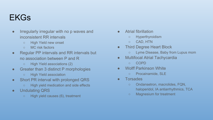## EKGs

- Irregularly irregular with no p waves and inconsistent RR intervals
	- High Yield new onset
	- MC risk factors
- Regular PP intervals and RR intervals but no association between P and R
	- High Yield associations (2)
- Greater than 3 distinct P morphologies
	- High Yield association
- Short PR interval with prolonged QRS
	- High yield medication and side effects
- Undulating QRS
	- High yield causes (6), treatment
- Atrial fibrillation
	- Hyperthyroidism
	- CAD, HTN
- Third Degree Heart Block
	- Lyme Disease, Baby from Lupus mom
- Multifocal Atrial Tachycardia
	- COPD
- Wolff Parkinson White
	- Procainamide, SLE
- Torsades
	- Ondansetron, macrolides, FQN, haloperidol, IA antiarrhythmics, TCA
	- Magnesium for treatment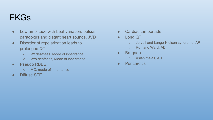## EKGs

- Low amplitude with beat variation, pulsus paradoxus and distant heart sounds, JVD
- Disorder of repolarization leads to prolonged QT
	- W/ deafness, Mode of inheritance
	- W/o deafness, Mode of inheritance
- Pseudo RBBB
	- MC, mode of inheritance
- Diffuse STE
- Cardiac tamponade
- Long QT
	- Jervell and Lange-Nielsen syndrome, AR
	- Romano Ward, AD
- Brugada
	- Asian males, AD
- **•** Pericarditis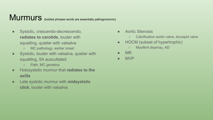## Murmurs (bolded phrases words are essentially pathognomonic)

- Systolic, crescendo-decrescendo, **radiates to carotids**, louder with squatting, quieter with valsalva
	- MC pathology, earlier onset
- Systolic, louder with valsalva, quieter with squatting, S4 auscultated
	- Path, MC genetics
- Holosystolic murmur that **radiates to the axilla**
- Late systolic murmur with **midsystolic click**, louder with valsalva
- Aortic Stenosis
	- Calcification aortic valve, bicuspid valve
- HOCM (subset of hypertrophic)
	- Myofibril disarray, AD
- MR
- MVP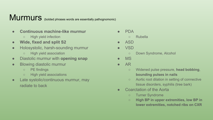# Murmurs (bolded phrases words are essentially pathognomonic)

- **● Continuous machine-like murmur**
	- High yield infection
- **● Wide, fixed and split S2**
- Holosystolic, harsh-sounding murmur
	- High yield association
- Diastolic murmur with **opening snap**
- Blowing diastolic murmur
	- PE findings
	- High yield associations
- Late systolic/continuous murmur, may radiate to back
- **PDA** 
	- Rubella
- **ASD**
- **VSD** 
	- Down Syndrome, Alcohol
- MS
- $\bullet$  AR
	- Widened pulse pressure, **head bobbing**, **bounding pulses in nails**
	- Aortic root dilation in setting of connective tissue disorders, syphilis (tree bark)
- Coarctation of the Aorta
	- Turner Syndrome
	- **○ High BP in upper extremities, low BP in lower extremities, notched ribs on CXR**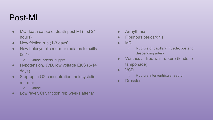## Post-MI

- MC death cause of death post MI (first 24) hours)
- New friction rub (1-3 days)
- New holosystolic murmur radiates to axilla  $(2-7)$ 
	- Cause, arterial supply
- Hypotension, JVD, low voltage EKG (5-14 days)
- Step-up in O2 concentration, holosystolic murmur
	- Cause
- Low fever, CP, friction rub weeks after MI
- **•** Arrhythmia
- Fibrinous pericarditis
- MR
	- Rupture of papillary muscle, posterior descending artery
- Ventricular free wall rupture (leads to tamponade)
- VSD
	- Rupture interventricular septum
- Dressler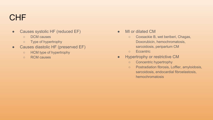## CHF

- Causes systolic HF (reduced EF)
	- DCM causes
	- Type of hypertrophy
- Causes diastolic HF (preserved EF)
	- HCM type of hypertrophy
	- RCM causes
- MI or dilated CM
	- Coxsackie B, wet beriberi, Chagas, Doxorubicin, hemochromatosis, sarcoidosis, peripartum CM
	- Eccentric
- **•** Hypertrophy or restrictive CM
	- Concentric hypertrophy
	- Postradiation fibrosis, Loffler, amyloidosis, sarcoidosis, endocardial fibroelastosis, hemochromatosis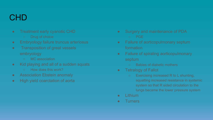#### CHD

- **•** Treatment early cyanotic CHD
	- Drug of choice
- Embryology failure truncus arteriosus
- **•** Transposition of great vessels embryology
	- MC association
- Kid playing and all of a sudden squats
	- o How does this work?
- Association Ebstein anomaly
- High yield coarctation of aorta
- Surgery and maintenance of PDA ○ PGE
- Failure of aorticopulmonary septum formation
- Failure of spiraling aorticopulmonary septum
	- Babies of diabetic mothers
- **•** Tetralogy of Fallot
	- Exercising increased R to L shunting, squatting increased resistance in systemic system so that R sided circulation to the lungs became the lower pressure system
- Lithium
- Turners